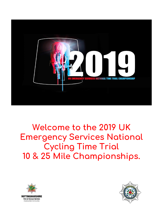

### **Welcome to the 2019 UK Emergency Services National Cycling Time Trial 10 & 25 Mile Championships.**



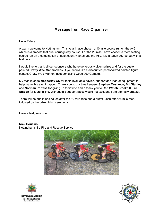### **Message from Race Organiser**

Hello Riders

A warm welcome to Nottingham. This year I have chosen a 10 mile course run on the A46 which is a smooth fast dual carriageway course. For the 25 mile I have chosen a more testing course run on a combination of quiet country lanes and the A52. It is a tough course but with a fast finish.

I would like to thank all our sponsors who have generously given prizes and for the custom painted **Crafty Wee Man** trophies (if you would like a discounted personalized painted figure contact Crafty Wee Man on facebook using Code 999 Games).

My thanks go to **Mapperley CC** for their invaluable advice, support and loan of equipment to help make this event happen. Thank you to our time keepers **Stephen Custance, Bill Stanley** and **Norman Portess** for giving up their time and a thank you to **Red Watch Stockhill Fire Station** for Marshalling. Without this support races would not exist and I am eternally grateful.

There will be drinks and cakes after the 10 mile race and a buffet lunch after 25 mile race, followed by the prize giving ceremony.

Have a fast, safe ride

#### **Nick Cousins**

Nottinghamshire Fire and Rescue Service





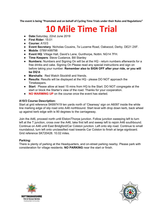**The event is being "Promoted and on behalf of Cycling Time Trials under their Rules and Regulations"**

## **10 Mile Time Trial**

- **Date:**Saturday, 22nd June 2019
- **First Rider:** 15:01
- **Course:** A10/3
- **Event Secretary**: Nicholas Cousins, 7a Lucerne Road, Oakwood, Derby. DE21 2XF.
- **Mobile**: 07891499798
- **Event HQ**: Village Hall, David's Lane, Gunthorpe, Nottm. NG14 7FH.
- **Time Keepers**: Steve Custance, Bill Stanley
- **Numbers:** Numbers and Signing On will be at the HQ return numbers afterwards for a free drinks and cake. Signing On Please read any special instructions and sign on before taking your number. **Remember also to SIGN OFF after your ride, or you will be DQ'd**.
- **Marshalls**: Red Watch Stockhill and friends.
- **Results**: Results will be displayed at the HQ please DO NOT approach the Timekeepers.
- **Start**: Please allow at least 15 mins from HQ to the Start. DO NOT congregate at the start or block the Starter's view of the road. Thanks for your cooperation.
- **NO WARMING UP** on the course once the event has started.

#### **A10/3 Course Description:**

Start at grid reference SK697419 ten yards north of 'Clearway' sign on A6097 inside the white line marking edge of slip road onto A46 northbound. Start level with drop down kerb, back wheel up against kerb edge with is 90 degrees to the carriageway.

Join the A46, proceed north until Elston/Thorpe junction. Follow junction sweeping left to turn left at the T junction, cross over the A46, take first left and sweep left to rejoin A46 southbound. Continue on A46 until East Bridgford/Car Colston junction. Left onto slip road. Continue to small roundabout, turn left onto unclassified road towards Car Colston to finish at large signboard. Grid reference SK720428. 10.02 miles.

#### **Parking:**

There is plenty of parking at the Headquarters, and on-street parking nearby. Please park with consideration for village residents. **NO PARKING** near the start or finish.



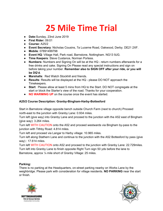# **25 Mile Time Trial**

- **Date:**Sunday, 23nd June 2019
- **First Rider:** 09:01
- **Course:** A25/2
- **Event Secretary**: Nicholas Cousins, 7a Lucerne Road, Oakwood, Derby. DE21 2XF.
- **Mobile**: 07891499798
- **Event HQ**: Village Hall, Park road, Barnstone, Nottingham. NG13 9JG.
- **Time Keepers**: Steve Custance, Norman Portess.
- **Numbers:** Numbers and Signing On will be at the HQ return numbers afterwards for a free drinks and cake. Signing On Please read any special instructions and sign on before taking your number. **Remember also to SIGN OFF after your ride, or you will be DQ'd**.
- **Marshalls**: Red Watch Stockhill and friends.
- **Results**: Results will be displayed at the HQ please DO NOT approach the Timekeepers.
- **Start**: Please allow at least 5 mins from HQ to the Start. DO NOT congregate at the start or block the Starter's view of the road. Thanks for your cooperation.
- **NO WARMING UP** on the course once the event has started.

#### **A25/2 Course Description: Granby-Bingham-Harby-Bottesford**

Start in Barnstone village opposite bench outside Church Farm (next to church) Proceed north-east to the junction with Granby Lane: 0.934 miles.

Turn left (give way) into Granby Lane and proceed to the junction with the A52 east of Bingham (give way): 3.264 miles.

Turn left WITH CAUTION onto the A52 and proceed westwards via Bingham by-pass to the junction with Tithby Road: 4.814 miles.

Turn left and proceed via Langar to Harby village: 10.965 miles.

Turn left along Stathern Lane and continue to the junction with the A52 Bottesford by pass (give way) : 17.614 miles.

Turn left WITH CAUTION onto A52 and proceed to the junction with Granby Lane: 22.729miles. Turn left into Granby Lane to finish opposite Right Turn sign 50 yds before the lane to Barnstone, approx ¼ mile short of Granby Village: 25 miles.

#### **Parking:**

There is no parking at the Headquarters, on-street parking nearby on Works Lane by the weighbridge. Please park with consideration for village residents. **NO PARKING** near the start or finish.



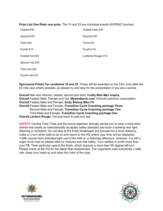#### **Prize List One Rider one prize**. The 10 and 25 are individual events (NOPINZ Voucher)

| Fastest £40     | Fastest Lady £40   |
|-----------------|--------------------|
| Second £30      | Second £30         |
| Third £20       | Third £20          |
| Fourth £10      | Fourth £10         |
| Fastest Vet £40 | Lanterne Rouge £10 |
| Second Vet £30  |                    |
| Third Vet £20   |                    |
| Fourth Vet £10  |                    |

**Sponsored Prizes For combined 10 and 25** Prizes will be awarded on the 23rd June after the 25 mile race where possible, so please try and stay for the presentation if you are a winner.

**Overall** Men and Women, fastest, second and third, **Crafty Wee Men trophy. Overall** Fastest Male, Female and Vet, **Mywindsock.com** 12month premium subscription. **Overall** Fastest Male and Female, **Andy Bishop BIke Fit Overall** Fastest Male and Female, **Transition Cycle Coaching package Three** Second Male and Female, **Transition Cycle Coaching package Two** Third Male and Female, **Transition Cycle Coaching package One Overall Lantern Rouge.** You just have to wait and see.

**SAFETY** Cycling Time Trials and the event organiser strongly advise you to wear a hard shell helmet that meets an internationally accepted safety standard and have a working rear light (flashing or constant). Do not stop at the finish timekeeper but proceed for a short distance, make a U turn when safe to do so and return to the HQ where your time will be displayed. Traffic counts have indicated light use of the A46 on a Saturday afternoon, however, it is still a major trunk road so please take no chances and ride safely. Your welfare is worth more than your PB. Take particular care at the finish, which requires a more than 90 degree left turn. Please check at the HQ for the latest Risk Assessment. The organisers wish everybody a safe ride. Keep your head up and obey the rules of the road.